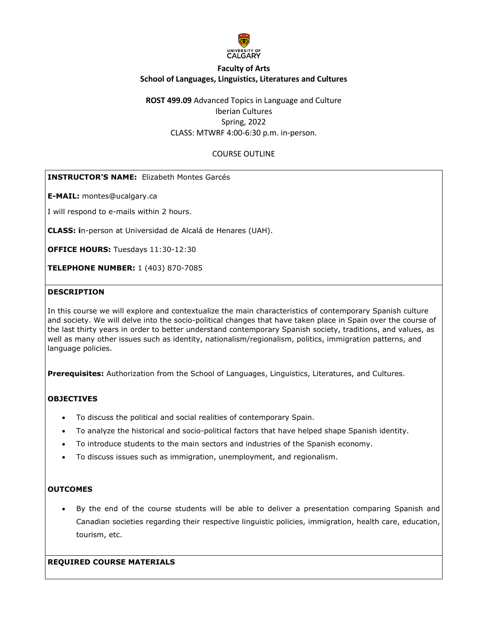

**ROST 499.09** Advanced Topics in Language and Culture Iberian Cultures Spring, 2022 CLASS: MTWRF 4:00-6:30 p.m. in-person.

## COURSE OUTLINE

## **INSTRUCTOR'S NAME:** Elizabeth Montes Garcés

**E-MAIL:** montes@ucalgary.ca

I will respond to e-mails within 2 hours.

**CLASS: i**n-person at Universidad de Alcalá de Henares (UAH).

**OFFICE HOURS: Tuesdays 11:30-12:30** 

**TELEPHONE NUMBER:** 1 (403) 870-7085

#### **DESCRIPTION**

In this course we will explore and contextualize the main characteristics of contemporary Spanish culture and society. We will delve into the socio-political changes that have taken place in Spain over the course of the last thirty years in order to better understand contemporary Spanish society, traditions, and values, as well as many other issues such as identity, nationalism/regionalism, politics, immigration patterns, and language policies.

**Prerequisites:** Authorization from the School of Languages, Linguistics, Literatures, and Cultures.

## **OBJECTIVES**

- To discuss the political and social realities of contemporary Spain.
- To analyze the historical and socio-political factors that have helped shape Spanish identity.
- To introduce students to the main sectors and industries of the Spanish economy.
- To discuss issues such as immigration, unemployment, and regionalism.

#### **OUTCOMES**

• By the end of the course students will be able to deliver a presentation comparing Spanish and Canadian societies regarding their respective linguistic policies, immigration, health care, education, tourism, etc.

**REQUIRED COURSE MATERIALS**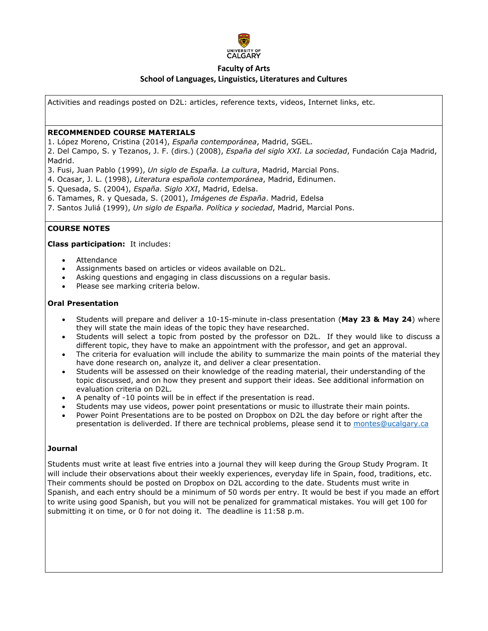

# **Faculty of Arts**

## **School of Languages, Linguistics, Literatures and Cultures**

Activities and readings posted on D2L: articles, reference texts, videos, Internet links, etc.

### **RECOMMENDED COURSE MATERIALS**

1. López Moreno, Cristina (2014), *España contemporánea*, Madrid, SGEL.

2. Del Campo, S. y Tezanos, J. F. (dirs.) (2008), *España del siglo XXI. La sociedad*, Fundación Caja Madrid, Madrid.

- 3. Fusi, Juan Pablo (1999), *Un siglo de España. La cultura*, Madrid, Marcial Pons.
- 4. Ocasar, J. L. (1998), *Literatura española contemporánea*, Madrid, Edinumen.
- 5. Quesada, S. (2004), *España. Siglo XXI*, Madrid, Edelsa.
- 6. Tamames, R. y Quesada, S. (2001), *Imágenes de España*. Madrid, Edelsa
- 7. Santos Juliá (1999), *Un siglo de España. Política y sociedad*, Madrid, Marcial Pons.

## **COURSE NOTES**

#### **Class participation:** It includes:

- **Attendance**
- Assignments based on articles or videos available on D2L.
- Asking questions and engaging in class discussions on a regular basis.
- Please see marking criteria below.

#### **Oral Presentation**

- Students will prepare and deliver a 10-15-minute in-class presentation (**May 23 & May 24**) where they will state the main ideas of the topic they have researched.
- Students will select a topic from posted by the professor on D2L. If they would like to discuss a different topic, they have to make an appointment with the professor, and get an approval.
- The criteria for evaluation will include the ability to summarize the main points of the material they have done research on, analyze it, and deliver a clear presentation.
- Students will be assessed on their knowledge of the reading material, their understanding of the topic discussed, and on how they present and support their ideas. See additional information on evaluation criteria on D2L.
- A penalty of -10 points will be in effect if the presentation is read.
- Students may use videos, power point presentations or music to illustrate their main points.
- Power Point Presentations are to be posted on Dropbox on D2L the day before or right after the presentation is deliverded. If there are technical problems, please send it to [montes@ucalgary.ca](mailto:montes@ucalgary.ca)

#### **Journal**

Students must write at least five entries into a journal they will keep during the Group Study Program. It will include their observations about their weekly experiences, everyday life in Spain, food, traditions, etc. Their comments should be posted on Dropbox on D2L according to the date. Students must write in Spanish, and each entry should be a minimum of 50 words per entry. It would be best if you made an effort to write using good Spanish, but you will not be penalized for grammatical mistakes. You will get 100 for submitting it on time, or 0 for not doing it. The deadline is 11:58 p.m.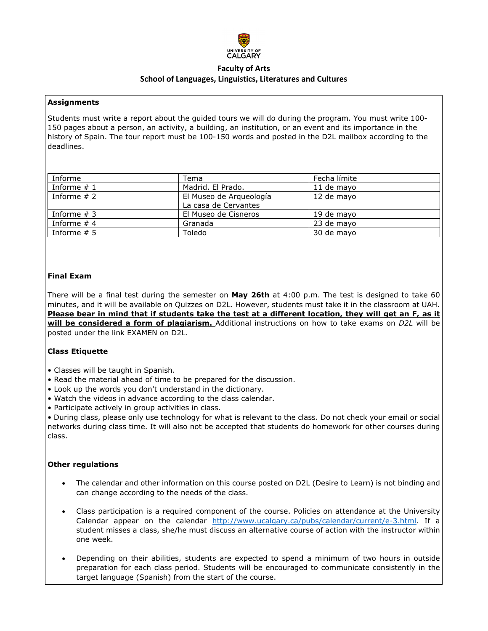

### **Assignments**

Students must write a report about the guided tours we will do during the program. You must write 100- 150 pages about a person, an activity, a building, an institution, or an event and its importance in the history of Spain. The tour report must be 100-150 words and posted in the D2L mailbox according to the deadlines.

| Informe       | Tema                    | Fecha límite |
|---------------|-------------------------|--------------|
| Informe $#1$  | Madrid, El Prado.       | 11 de mayo   |
| Informe $# 2$ | El Museo de Arqueología | 12 de mayo   |
|               | La casa de Cervantes    |              |
| Informe $# 3$ | El Museo de Cisneros    | 19 de mayo   |
| Informe $# 4$ | Granada                 | 23 de mayo   |
| Informe $# 5$ | Toledo                  | 30 de mayo   |

# **Final Exam**

There will be a final test during the semester on **May 26th** at 4:00 p.m. The test is designed to take 60 minutes, and it will be available on Quizzes on D2L. However, students must take it in the classroom at UAH. **Please bear in mind that if students take the test at a different location, they will get an F, as it will be considered a form of plagiarism.** Additional instructions on how to take exams on *D2L* will be posted under the link EXAMEN on D2L.

# **Class Etiquette**

- Classes will be taught in Spanish.
- Read the material ahead of time to be prepared for the discussion.
- Look up the words you don't understand in the dictionary.
- Watch the videos in advance according to the class calendar.
- Participate actively in group activities in class.

• During class, please only use technology for what is relevant to the class. Do not check your email or social networks during class time. It will also not be accepted that students do homework for other courses during class.

#### **Other regulations**

- The calendar and other information on this course posted on D2L (Desire to Learn) is not binding and can change according to the needs of the class.
- Class participation is a required component of the course. Policies on attendance at the University Calendar appear on the calendar [http://www.ucalgary.ca/pubs/calendar/current/e-3.html.](http://www.ucalgary.ca/pubs/calendar/current/e-3.html) If a student misses a class, she/he must discuss an alternative course of action with the instructor within one week.
- Depending on their abilities, students are expected to spend a minimum of two hours in outside preparation for each class period. Students will be encouraged to communicate consistently in the target language (Spanish) from the start of the course.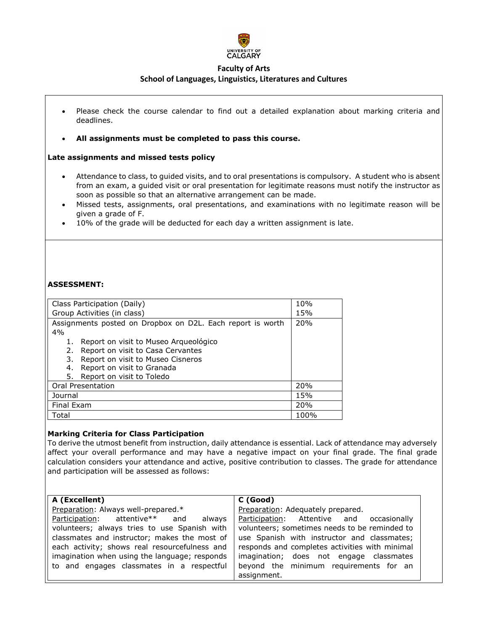

- Please check the course calendar to find out a detailed explanation about marking criteria and deadlines.
- **All assignments must be completed to pass this course.**

## **Late assignments and missed tests policy**

- Attendance to class, to guided visits, and to oral presentations is compulsory. A student who is absent from an exam, a guided visit or oral presentation for legitimate reasons must notify the instructor as soon as possible so that an alternative arrangement can be made.
- Missed tests, assignments, oral presentations, and examinations with no legitimate reason will be given a grade of F.
- 10% of the grade will be deducted for each day a written assignment is late.

# **ASSESSMENT:**

| Class Participation (Daily)                                | 10%  |
|------------------------------------------------------------|------|
| Group Activities (in class)                                | 15%  |
| Assignments posted on Dropbox on D2L. Each report is worth | 20%  |
| 4%                                                         |      |
| 1. Report on visit to Museo Arqueológico                   |      |
| Report on visit to Casa Cervantes<br>2.                    |      |
| Report on visit to Museo Cisneros<br>3.                    |      |
| Report on visit to Granada<br>4.                           |      |
| Report on visit to Toledo<br>5.                            |      |
| Oral Presentation                                          | 20%  |
| Journal                                                    | 15%  |
| Final Exam                                                 | 20%  |
| Total                                                      | 100% |

#### **Marking Criteria for Class Participation**

To derive the utmost benefit from instruction, daily attendance is essential. Lack of attendance may adversely affect your overall performance and may have a negative impact on your final grade. The final grade calculation considers your attendance and active, positive contribution to classes. The grade for attendance and participation will be assessed as follows:

| A (Excellent)                                 | C (Good)                                       |
|-----------------------------------------------|------------------------------------------------|
| Preparation: Always well-prepared.*           | Preparation: Adequately prepared.              |
| Participation: attentive** and<br>always      | Participation: Attentive and occasionally      |
| volunteers; always tries to use Spanish with  | volunteers; sometimes needs to be reminded to  |
| classmates and instructor; makes the most of  | use Spanish with instructor and classmates;    |
| each activity; shows real resourcefulness and | responds and completes activities with minimal |
| imagination when using the language; responds | imagination; does not engage classmates        |
| to and engages classmates in a respectful     | beyond the minimum requirements for an         |
|                                               | assignment.                                    |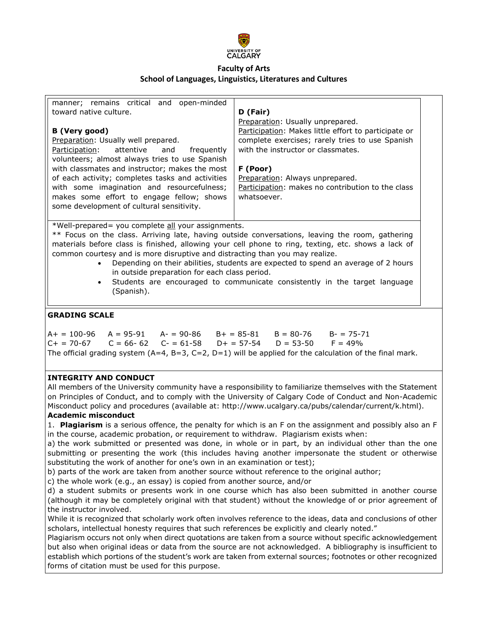

| manner; remains critical and open-minded<br>toward native culture.<br><b>B</b> (Very good)<br>Preparation: Usually well prepared.<br>Participation:<br>attentive<br>and<br>frequently<br>volunteers; almost always tries to use Spanish<br>with classmates and instructor; makes the most<br>of each activity; completes tasks and activities<br>with some imagination and resourcefulness;<br>makes some effort to engage fellow; shows<br>some development of cultural sensitivity.                                                                                                        | D (Fair)<br>Preparation: Usually unprepared.<br>Participation: Makes little effort to participate or<br>complete exercises; rarely tries to use Spanish<br>with the instructor or classmates.<br>F (Poor)<br>Preparation: Always unprepared.<br>Participation: makes no contribution to the class<br>whatsoever.               |  |  |
|----------------------------------------------------------------------------------------------------------------------------------------------------------------------------------------------------------------------------------------------------------------------------------------------------------------------------------------------------------------------------------------------------------------------------------------------------------------------------------------------------------------------------------------------------------------------------------------------|--------------------------------------------------------------------------------------------------------------------------------------------------------------------------------------------------------------------------------------------------------------------------------------------------------------------------------|--|--|
| *Well-prepared= you complete all your assignments.<br>** Focus on the class. Arriving late, having outside conversations, leaving the room, gathering<br>materials before class is finished, allowing your cell phone to ring, texting, etc. shows a lack of<br>common courtesy and is more disruptive and distracting than you may realize.<br>Depending on their abilities, students are expected to spend an average of 2 hours<br>$\bullet$<br>in outside preparation for each class period.<br>Students are encouraged to communicate consistently in the target language<br>(Spanish). |                                                                                                                                                                                                                                                                                                                                |  |  |
| <b>GRADING SCALE</b>                                                                                                                                                                                                                                                                                                                                                                                                                                                                                                                                                                         |                                                                                                                                                                                                                                                                                                                                |  |  |
| $A+ = 100-96$ $A = 95-91$ $A- = 90-86$ $B+ = 85-81$ $B = 80-76$ $B- = 75-71$<br>$C = 66 - 62$ $C = 61 - 58$ $D + = 57 - 54$ $D = 53 - 50$ $F = 49%$<br>$C+ = 70-67$<br>The official grading system $(A=4, B=3, C=2, D=1)$ will be applied for the calculation of the final mark.                                                                                                                                                                                                                                                                                                             |                                                                                                                                                                                                                                                                                                                                |  |  |
| <b>INTEGRITY AND CONDUCT</b><br><b>Academic misconduct</b>                                                                                                                                                                                                                                                                                                                                                                                                                                                                                                                                   | All members of the University community have a responsibility to familiarize themselves with the Statement<br>on Principles of Conduct, and to comply with the University of Calgary Code of Conduct and Non-Academic<br>Misconduct policy and procedures (available at: http://www.ucalgary.ca/pubs/calendar/current/k.html). |  |  |

1. **Plagiarism** is a serious offence, the penalty for which is an F on the assignment and possibly also an F in the course, academic probation, or requirement to withdraw. Plagiarism exists when:

a) the work submitted or presented was done, in whole or in part, by an individual other than the one submitting or presenting the work (this includes having another impersonate the student or otherwise substituting the work of another for one's own in an examination or test);

b) parts of the work are taken from another source without reference to the original author;

c) the whole work (e.g., an essay) is copied from another source, and/or

d) a student submits or presents work in one course which has also been submitted in another course (although it may be completely original with that student) without the knowledge of or prior agreement of the instructor involved.

While it is recognized that scholarly work often involves reference to the ideas, data and conclusions of other scholars, intellectual honesty requires that such references be explicitly and clearly noted."

Plagiarism occurs not only when direct quotations are taken from a source without specific acknowledgement but also when original ideas or data from the source are not acknowledged. A bibliography is insufficient to establish which portions of the student's work are taken from external sources; footnotes or other recognized forms of citation must be used for this purpose.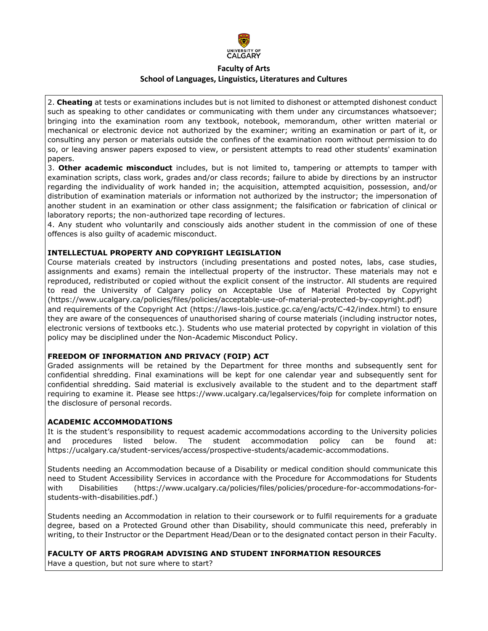

2. **Cheating** at tests or examinations includes but is not limited to dishonest or attempted dishonest conduct such as speaking to other candidates or communicating with them under any circumstances whatsoever; bringing into the examination room any textbook, notebook, memorandum, other written material or mechanical or electronic device not authorized by the examiner; writing an examination or part of it, or consulting any person or materials outside the confines of the examination room without permission to do so, or leaving answer papers exposed to view, or persistent attempts to read other students' examination papers.

3. **Other academic misconduct** includes, but is not limited to, tampering or attempts to tamper with examination scripts, class work, grades and/or class records; failure to abide by directions by an instructor regarding the individuality of work handed in; the acquisition, attempted acquisition, possession, and/or distribution of examination materials or information not authorized by the instructor; the impersonation of another student in an examination or other class assignment; the falsification or fabrication of clinical or laboratory reports; the non-authorized tape recording of lectures.

4. Any student who voluntarily and consciously aids another student in the commission of one of these offences is also guilty of academic misconduct.

#### **INTELLECTUAL PROPERTY AND COPYRIGHT LEGISLATION**

Course materials created by instructors (including presentations and posted notes, labs, case studies, assignments and exams) remain the intellectual property of the instructor. These materials may not e reproduced, redistributed or copied without the explicit consent of the instructor. All students are required to read the University of Calgary policy on Acceptable Use of Material Protected by Copyright (https://www.ucalgary.ca/policies/files/policies/acceptable-use-of-material-protected-by-copyright.pdf) and requirements of the Copyright Act (https://laws-lois.justice.gc.ca/eng/acts/C-42/index.html) to ensure they are aware of the consequences of unauthorised sharing of course materials (including instructor notes, electronic versions of textbooks etc.). Students who use material protected by copyright in violation of this policy may be disciplined under the Non-Academic Misconduct Policy.

#### **FREEDOM OF INFORMATION AND PRIVACY (FOIP) ACT**

Graded assignments will be retained by the Department for three months and subsequently sent for confidential shredding. Final examinations will be kept for one calendar year and subsequently sent for confidential shredding. Said material is exclusively available to the student and to the department staff requiring to examine it. Please see https://www.ucalgary.ca/legalservices/foip for complete information on the disclosure of personal records.

### **ACADEMIC ACCOMMODATIONS**

It is the student's responsibility to request academic accommodations according to the University policies and procedures listed below. The student accommodation policy can be found at: https://ucalgary.ca/student-services/access/prospective-students/academic-accommodations.

Students needing an Accommodation because of a Disability or medical condition should communicate this need to Student Accessibility Services in accordance with the Procedure for Accommodations for Students with Disabilities (https://www.ucalgary.ca/policies/files/policies/procedure-for-accommodations-forstudents-with-disabilities.pdf.)

Students needing an Accommodation in relation to their coursework or to fulfil requirements for a graduate degree, based on a Protected Ground other than Disability, should communicate this need, preferably in writing, to their Instructor or the Department Head/Dean or to the designated contact person in their Faculty.

#### **FACULTY OF ARTS PROGRAM ADVISING AND STUDENT INFORMATION RESOURCES**

Have a question, but not sure where to start?